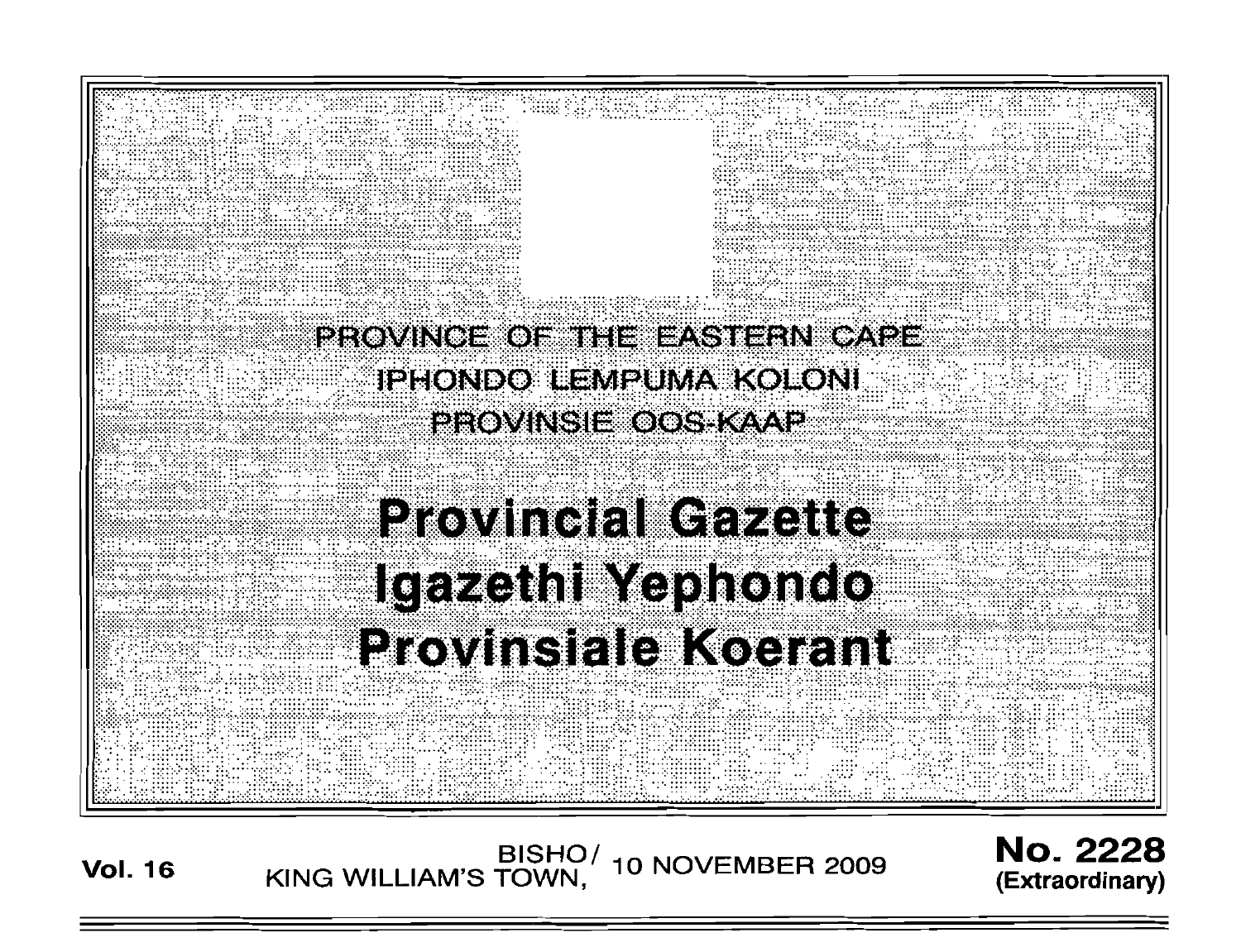

**Vol. <sup>16</sup>** BISHO/ KING WILLIAM'S TOWN , 10 NOVEMBER 2009 No. 2228 **(Extraordinary)**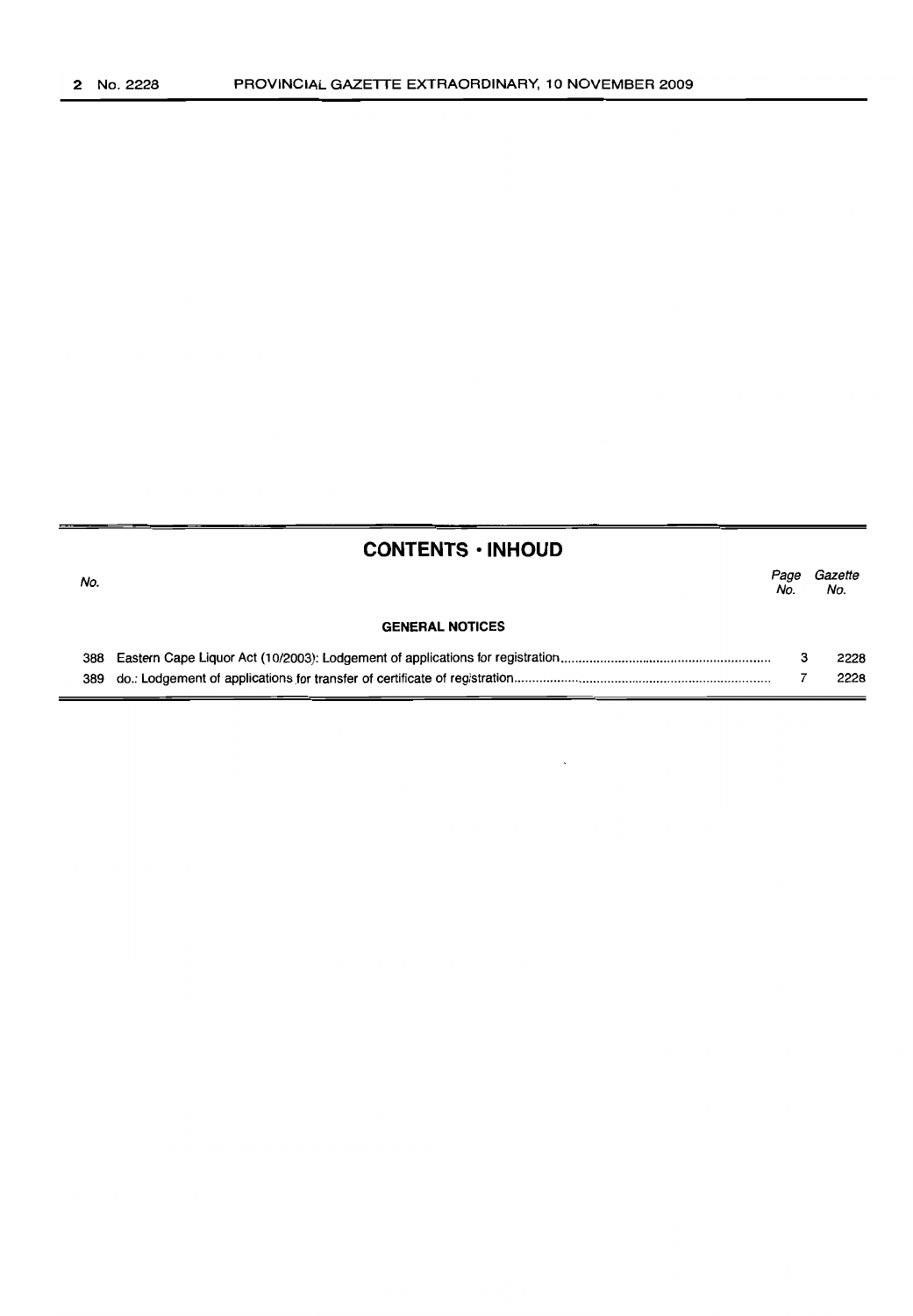## **CONTENTS • INHOUD**

| No. |                        | Page<br>No. | Gazette<br>No. |
|-----|------------------------|-------------|----------------|
|     | <b>GENERAL NOTICES</b> |             |                |
| 388 |                        |             | 2228           |
|     |                        |             | 2228           |

 $\ddot{\phantom{0}}$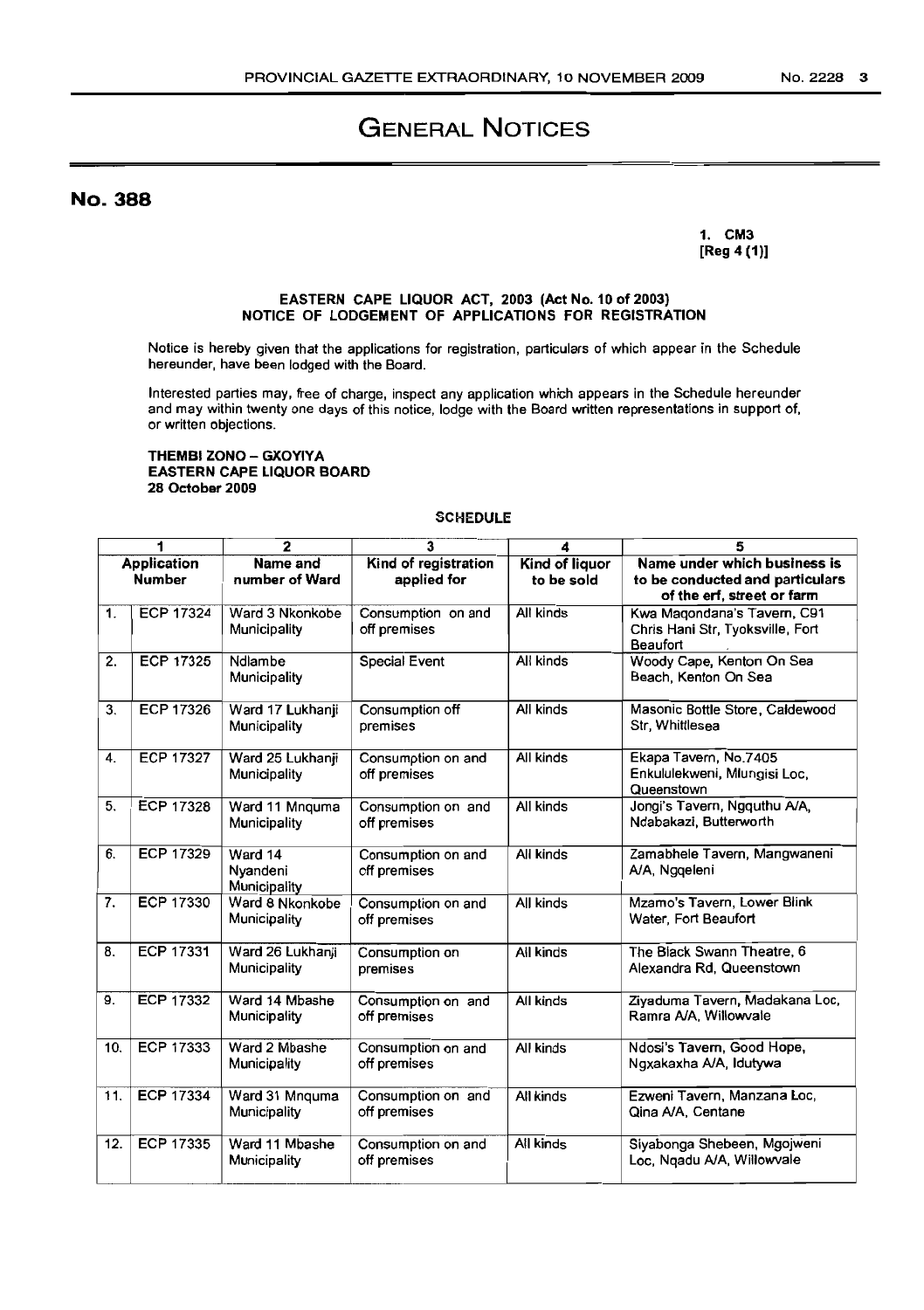# GENERAL NOTICES

No. 388

1. CM3 [Reg 4 (1)]

#### EASTERN CAPE LIQUOR ACT, 2003 (Act No. 10 of 2003) NOTICE OF LODGEMENT OF APPLICATIONS FOR REGISTRATION

Notice is hereby given that the applications for registration, particulars of which appear in the Schedule hereunder, have been lodged with the Board.

Interested parties may, free of charge, inspect any application which appears in the Schedule hereunder and may within twenty one days of this notice, lodge with the Board written representations in support of, or written objections.

### THEMBI ZONO - GXOYIYA EASTERN CAPE LIQUOR BOARD 28 October 2009

### **SCHEDULE**

| 1                                   |                  | $\overline{2}$                      | 3                                   | 4                            | 5                                                                                             |  |
|-------------------------------------|------------------|-------------------------------------|-------------------------------------|------------------------------|-----------------------------------------------------------------------------------------------|--|
| <b>Application</b><br><b>Number</b> |                  | Name and<br>number of Ward          | Kind of registration<br>applied for | Kind of liquor<br>to be sold | Name under which business is<br>to be conducted and particulars<br>of the erf, street or farm |  |
| 1.                                  | ECP 17324        | Ward 3 Nkonkobe<br>Municipality     | Consumption on and<br>off premises  | All kinds                    | Kwa Magondana's Tavern, C91<br>Chris Hani Str, Tyoksville, Fort<br>Beaufort                   |  |
| 2.                                  | ECP 17325        | Ndlambe<br>Municipality             | Special Event                       | All kinds                    | Woody Cape, Kenton On Sea<br>Beach, Kenton On Sea                                             |  |
| 3.                                  | ECP 17326        | Ward 17 Lukhanji<br>Municipality    | Consumption off<br>premises         | All kinds                    | Masonic Bottle Store, Caldewood<br>Str. Whittlesea                                            |  |
| 4.                                  | <b>ECP 17327</b> | Ward 25 Lukhanji<br>Municipality    | Consumption on and<br>off premises  | All kinds                    | Ekapa Tavern, No.7405<br>Enkululekweni, Mlungisi Loc,<br>Queenstown                           |  |
| 5.                                  | <b>ECP 17328</b> | Ward 11 Mnquma<br>Municipality      | Consumption on and<br>off premises  | All kinds                    | Jongi's Tavern, Ngquthu A/A,<br>Ndabakazi, Butterworth                                        |  |
| 6.                                  | ECP 17329        | Ward 14<br>Nyandeni<br>Municipality | Consumption on and<br>off premises  | All kinds                    | Zamabhele Tavern, Mangwaneni<br>A/A, Ngqeleni                                                 |  |
| 7.                                  | <b>ECP 17330</b> | Ward 8 Nkonkobe<br>Municipality     | Consumption on and<br>off premises  | All kinds                    | Mzamo's Tavern, Lower Blink<br>Water, Fort Beaufort                                           |  |
| 8.                                  | ECP 17331        | Ward 26 Lukhanji<br>Municipality    | Consumption on<br>premises          | Ail kinds                    | The Black Swann Theatre, 6<br>Alexandra Rd. Queenstown                                        |  |
| 9.                                  | <b>ECP 17332</b> | Ward 14 Mbashe<br>Municipality      | Consumption on and<br>off premises  | All kinds                    | Ziyaduma Tavern, Madakana Loc,<br>Ramra A/A, Willowvale                                       |  |
| 10.                                 | ECP 17333        | Ward 2 Mbashe<br>Municipality       | Consumption on and<br>off premises  | All kinds                    | Ndosi's Tavern, Good Hope,<br>Ngxakaxha A/A, Idutywa                                          |  |
| 11.                                 | ECP 17334        | Ward 31 Mnquma<br>Municipality      | Consumption on and<br>off premises  | All kinds                    | Ezweni Tavern, Manzana Loc,<br>Qina A/A, Centane                                              |  |
| 12.                                 | ECP 17335        | Ward 11 Mbashe<br>Municipality      | Consumption on and<br>off premises  | All kinds                    | Siyabonga Shebeen, Mgojweni<br>Loc, Ngadu A/A, Willowvale                                     |  |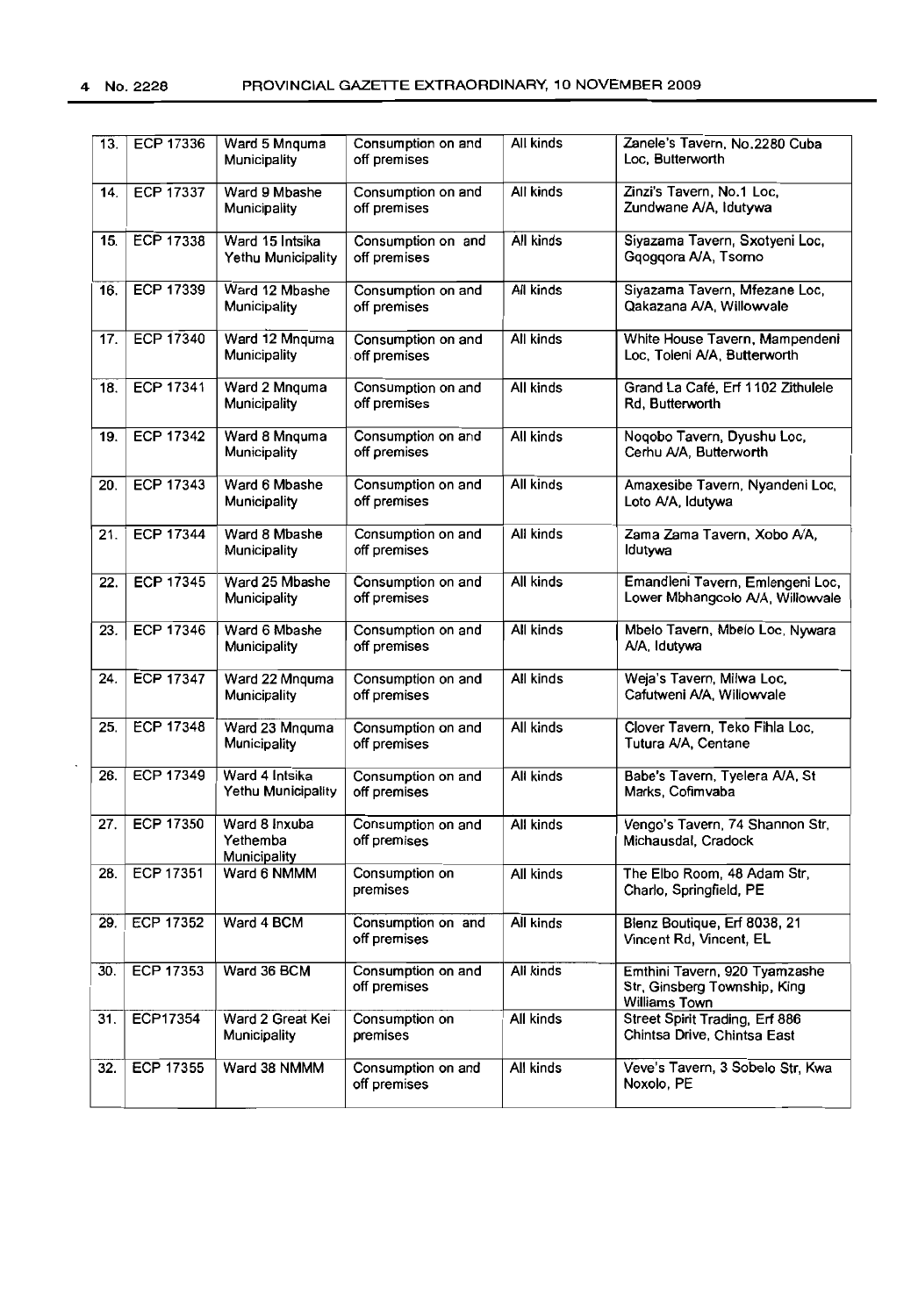| 13. | ECP 17336        | Ward 5 Mnquma<br>Municipality             | Consumption on and<br>off premises | All kinds | Zanele's Tavern, No.2280 Cuba<br>Loc, Butterworth                              |  |
|-----|------------------|-------------------------------------------|------------------------------------|-----------|--------------------------------------------------------------------------------|--|
| 14. | <b>ECP 17337</b> | Ward 9 Mbashe<br>Municipality             | Consumption on and<br>off premises | All kinds | Zinzi's Tavern, No.1 Loc,<br>Zundwane A/A, Idutywa                             |  |
| 15. | <b>ECP 17338</b> | Ward 15 Intsika<br>Yethu Municipality     | Consumption on and<br>off premises | All kinds | Siyazama Tavern, Sxotyeni Loc,<br>Googgora A/A, Tsomo                          |  |
| 16. | <b>ECP 17339</b> | Ward 12 Mbashe<br>Municipality            | Consumption on and<br>off premises | All kinds | Siyazama Tavern, Mfezane Loc,<br>Qakazana A/A, Willowvale                      |  |
| 17. | <b>ECP 17340</b> | Ward 12 Mnquma<br>Municipality            | Consumption on and<br>off premises | All kinds | White House Tavern, Mampendeni<br>Loc, Toleni A/A, Butterworth                 |  |
| 18. | ECP 17341        | Ward 2 Mnquma<br>Municipality             | Consumption on and<br>off premises | All kinds | Grand La Café, Erf 1102 Zithulele<br>Rd, Butterworth                           |  |
| 19. | <b>ECP 17342</b> | Ward 8 Mnquma<br>Municipality             | Consumption on and<br>off premises | All kinds | Noqobo Tavern, Dyushu Loc,<br>Cerhu A/A, Butterworth                           |  |
| 20. | <b>ECP 17343</b> | Ward 6 Mbashe<br>Municipality             | Consumption on and<br>off premises | All kinds | Amaxesibe Tavern, Nyandeni Loc,<br>Loto A/A, Idutywa                           |  |
| 21. | <b>ECP 17344</b> | Ward 8 Mbashe<br>Municipality             | Consumption on and<br>off premises | All kinds | Zama Zama Tavern, Xobo A/A,<br>Idutywa                                         |  |
| 22. | <b>ECP 17345</b> | Ward 25 Mbashe<br>Municipality            | Consumption on and<br>off premises | All kinds | Emandleni Tavern, Emlengeni Loc,<br>Lower Mbhangcolo A/A, Willowvale           |  |
| 23. | <b>ECP 17346</b> | Ward 6 Mbashe<br>Municipality             | Consumption on and<br>off premises | All kinds | Mbelo Tavern, Mbelo Loc, Nywara<br>A/A, Idutywa                                |  |
| 24. | <b>ECP 17347</b> | Ward 22 Mnquma<br>Municipality            | Consumption on and<br>off premises | All kinds | Weja's Tavern, Milwa Loc,<br>Cafutweni A/A, Willowvale                         |  |
| 25. | <b>ECP 17348</b> | Ward 23 Mnquma<br>Municipality            | Consumption on and<br>off premises | All kinds | Clover Tavern, Teko Fihla Loc,<br>Tutura A/A, Centane                          |  |
| 26. | <b>ECP 17349</b> | Ward 4 Intsika<br>Yethu Municipality      | Consumption on and<br>off premises | All kinds | Babe's Tavern, Tyelera A/A, St<br>Marks, Cofimvaba                             |  |
| 27. | <b>ECP 17350</b> | Ward 8 Inxuba<br>Yethemba<br>Municipality | Consumption on and<br>off premises | All kinds | Vengo's Tavern, 74 Shannon Str,<br>Michausdal, Cradock                         |  |
| 28. | <b>ECP 17351</b> | Ward 6 NMMM                               | Consumption on<br>premises         | All kinds | The Elbo Room, 48 Adam Str,<br>Charlo, Springfield, PE                         |  |
| 29. | <b>ECP 17352</b> | Ward 4 BCM                                | Consumption on and<br>off premises | All kinds | Blenz Boutique, Erf 8038, 21<br>Vincent Rd, Vincent, EL                        |  |
| 30. | <b>ECP 17353</b> | Ward 36 BCM                               | Consumption on and<br>off premises | All kinds | Emthini Tavern, 920 Tyamzashe<br>Str, Ginsberg Township, King<br>Williams Town |  |
| 31. | ECP17354         | Ward 2 Great Kei<br>Municipality          | Consumption on<br>premises         | All kinds | <b>Street Spirit Trading, Erf 886</b><br>Chintsa Drive, Chintsa East           |  |
| 32. | <b>ECP 17355</b> | Ward 38 NMMM                              | Consumption on and<br>off premises | All kinds | Veve's Tavern, 3 Sobelo Str, Kwa<br>Noxolo, PE                                 |  |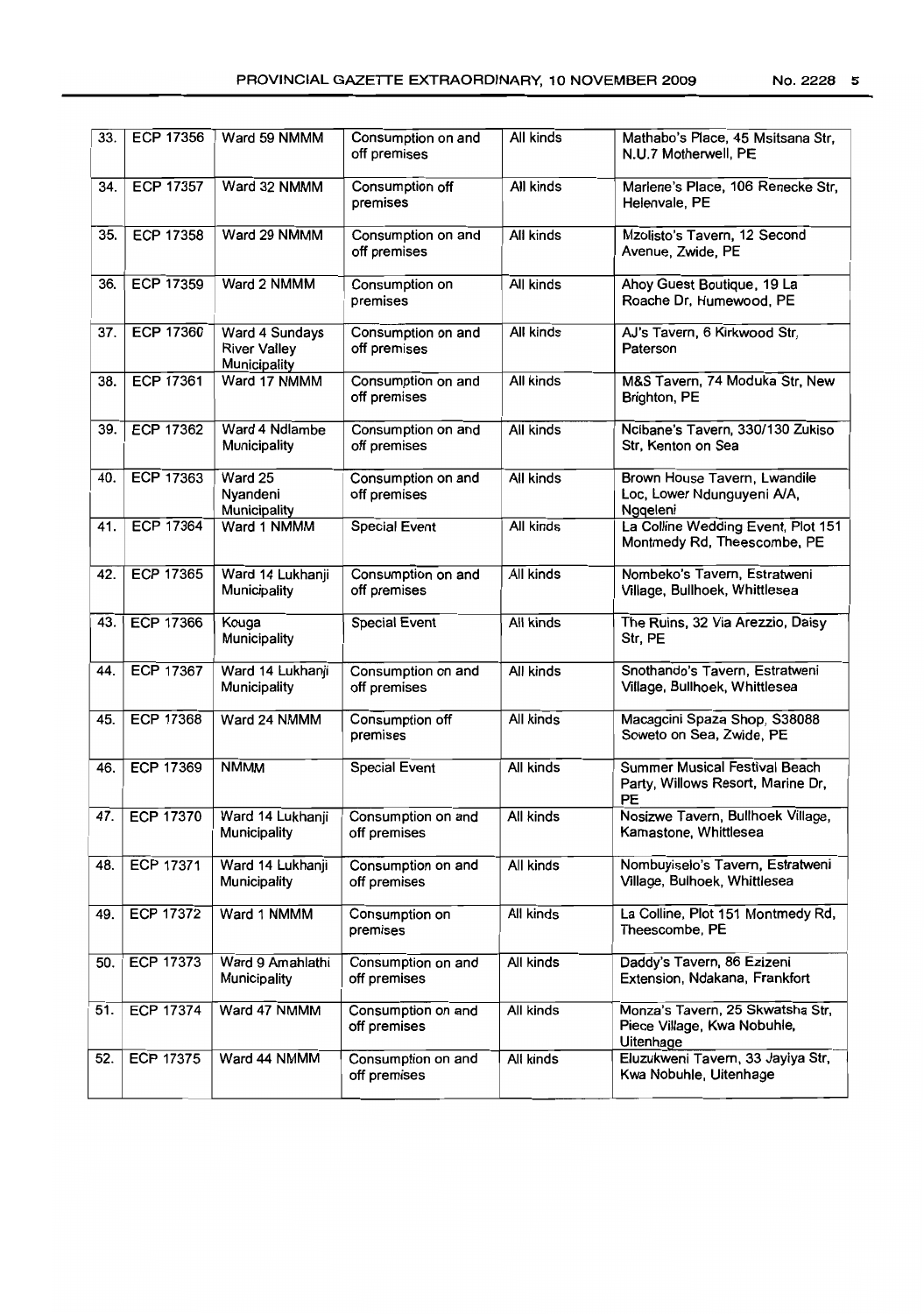| 33. | ECP 17356        | Ward 59 NMMM                                          | Consumption on and<br>off premises | All kinds | Mathabo's Place, 45 Msitsana Str,<br>N.U.7 Motherwell, PE                    |
|-----|------------------|-------------------------------------------------------|------------------------------------|-----------|------------------------------------------------------------------------------|
| 34. | <b>ECP 17357</b> | Ward 32 NMMM                                          | Consumption off<br>premises        | All kinds | Marlene's Place, 106 Renecke Str,<br>Helenvale, PE                           |
| 35. | <b>ECP 17358</b> | Ward 29 NMMM                                          | Consumption on and<br>off premises | All kinds | Mzolisto's Tavern, 12 Second<br>Avenue, Zwide, PE                            |
| 36. | <b>ECP 17359</b> | Ward 2 NMMM                                           | Consumption on<br>premises         | All kinds | Ahoy Guest Boutique, 19 La<br>Roache Dr, Humewood, PE                        |
| 37. | <b>ECP 17360</b> | Ward 4 Sundays<br><b>River Valley</b><br>Municipality | Consumption on and<br>off premises | All kinds | AJ's Tavern, 6 Kirkwood Str,<br>Paterson                                     |
| 38. | <b>ECP 17361</b> | Ward 17 NMMM                                          | Consumption on and<br>off premises | All kinds | M&S Tavern, 74 Moduka Str, New<br>Brighton, PE                               |
| 39. | <b>ECP 17362</b> | Ward 4 Ndlambe<br>Municipality                        | Consumption on and<br>off premises | All kinds | Ncibane's Tavern, 330/130 Zukiso<br>Str, Kenton on Sea                       |
| 40. | <b>ECP 17363</b> | Ward 25<br>Nyandeni<br>Municipality                   | Consumption on and<br>off premises | All kinds | Brown House Tavern, Lwandile<br>Loc, Lower Ndunguyeni A/A,<br>Nggeleni       |
| 41. | <b>ECP 17364</b> | Ward 1 NMMM                                           | <b>Special Event</b>               | All kinds | La Colline Wedding Event, Plot 151<br>Montmedy Rd, Theescombe, PE            |
| 42. | <b>ECP 17365</b> | Ward 14 Lukhanji<br>Municipality                      | Consumption on and<br>off premises | All kinds | Nombeko's Tavern, Estratweni<br>Village, Bullhoek, Whittlesea                |
| 43. | <b>ECP 17366</b> | Kouga<br>Municipality                                 | Special Event                      | All kinds | The Ruins, 32 Via Arezzio, Daisy<br>Str, PE                                  |
| 44. | ECP 17367        | Ward 14 Lukhanji<br>Municipality                      | Consumption on and<br>off premises | All kinds | Snothando's Tavern, Estratweni<br>Village, Bullhoek, Whittlesea              |
| 45. | <b>ECP 17368</b> | Ward 24 NMMM                                          | Consumption off<br>premises        | All kinds | Macagcini Spaza Shop, S38088<br>Soweto on Sea, Zwide, PE                     |
| 46. | <b>ECP 17369</b> | <b>NMMM</b>                                           | <b>Special Event</b>               | All kinds | Summer Musical Festival Beach<br>Party, Willows Resort, Marine Dr,<br>PE     |
| 47. | <b>ECP 17370</b> | Ward 14 Lukhanji<br>Municipality                      | Consumption on and<br>off premises | All kinds | Nosizwe Tavern, Bullhoek Village,<br>Kamastone, Whittlesea                   |
| 48. | ECP 17371        | Ward 14 Lukhanji<br>Municipality                      | Consumption on and<br>off premises | All kinds | Nombuyiselo's Tavern, Estratweni<br>Village, Bulhoek, Whittlesea             |
| 49. | ECP 17372        | Ward 1 NMMM                                           | Consumption on<br>premises         | All kinds | La Colline, Plot 151 Montmedy Rd,<br>Theescombe, PE                          |
| 50. | <b>ECP 17373</b> | Ward 9 Amahlathi<br>Municipality                      | Consumption on and<br>off premises | All kinds | Daddy's Tavern, 86 Ezizeni<br>Extension, Ndakana, Frankfort                  |
| 51. | <b>ECP 17374</b> | Ward 47 NMMM                                          | Consumption on and<br>off premises | All kinds | Monza's Tavern, 25 Skwatsha Str,<br>Piece Village, Kwa Nobuhle,<br>Uitenhage |
| 52. | <b>ECP 17375</b> | Ward 44 NMMM                                          | Consumption on and<br>off premises | All kinds | Eluzukweni Tavern, 33 Jayiya Str,<br>Kwa Nobuhle, Uitenhage                  |
|     |                  |                                                       |                                    |           |                                                                              |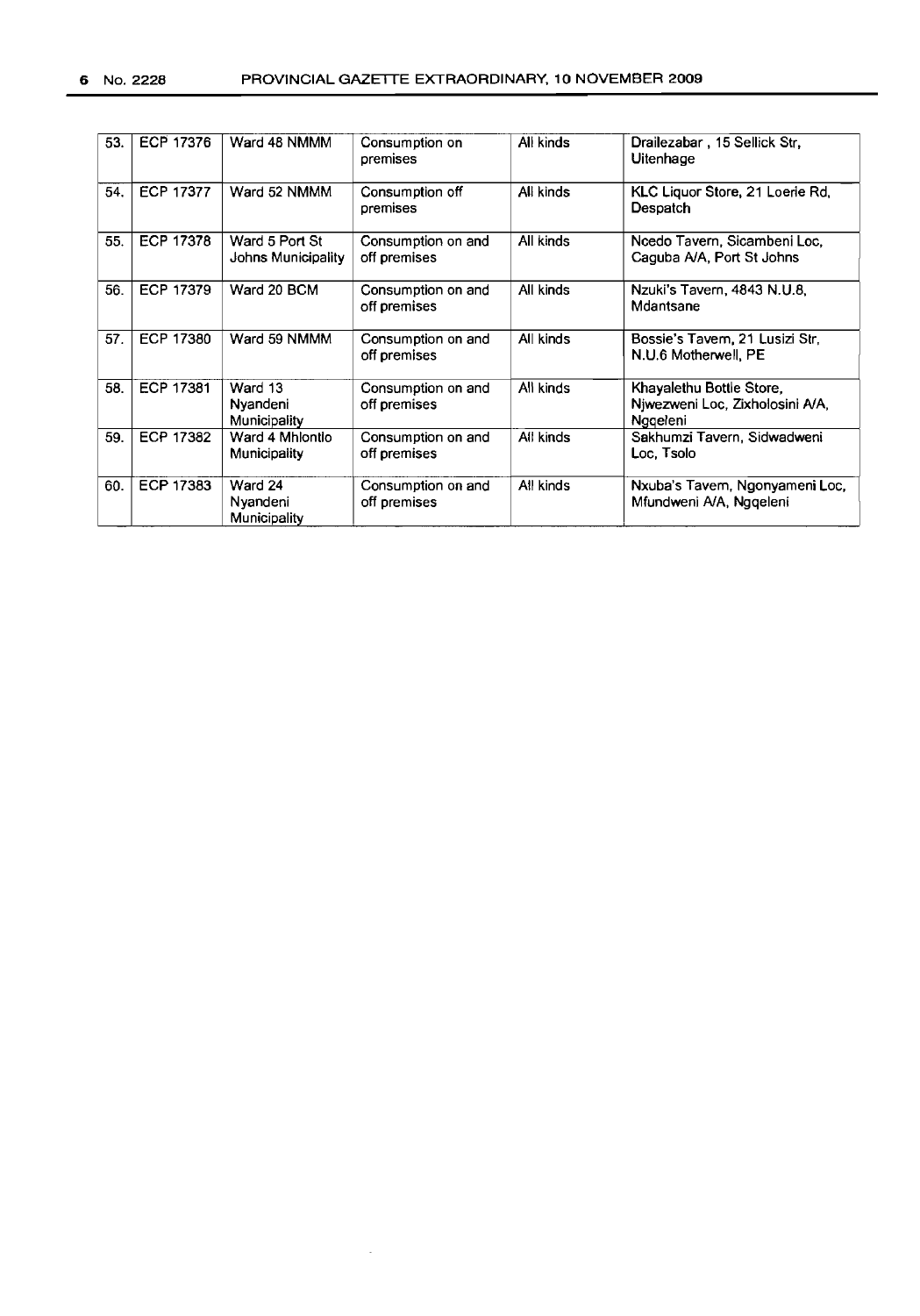| 53. | ECP 17376        | Ward 48 NMMM                         | Consumption on<br>premises         | All kinds | Drailezabar, 15 Sellick Str.<br>Uitenhage                               |
|-----|------------------|--------------------------------------|------------------------------------|-----------|-------------------------------------------------------------------------|
| 54. | <b>ECP 17377</b> | Ward 52 NMMM                         | Consumption off<br>premises        | All kinds | KLC Liquor Store, 21 Loerie Rd,<br>Despatch                             |
| 55. | <b>ECP 17378</b> | Ward 5 Port St<br>Johns Municipality | Consumption on and<br>off premises | All kinds | Ncedo Tavern, Sicambeni Loc,<br>Caguba A/A, Port St Johns               |
| 56. | <b>ECP 17379</b> | Ward 20 BCM                          | Consumption on and<br>off premises | All kinds | Nzuki's Tavern, 4843 N.U.8,<br>Mdantsane                                |
| 57. | <b>ECP 17380</b> | Ward 59 NMMM                         | Consumption on and<br>off premises | All kinds | Bossie's Tavem, 21 Lusizi Str.<br>N.U.6 Motherwell, PE                  |
| 58. | <b>ECP 17381</b> | Ward 13<br>Nyandeni<br>Municipality  | Consumption on and<br>off premises | All kinds | Khayalethu Bottle Store,<br>Njwezweni Loc, Zixholosini A/A,<br>Nggeleni |
| 59. | ECP 17382        | Ward 4 Mhiontio<br>Municipality      | Consumption on and<br>off premises | All kinds | Sakhumzi Tavern, Sidwadweni<br>Loc. Tsolo                               |
| 60. | ECP 17383        | Ward 24<br>Nyandeni<br>Municipality  | Consumption on and<br>off premises | All kinds | Nxuba's Tavem, Ngonyameni Loc,<br>Mfundweni A/A, Nggeleni               |

 $\sim$